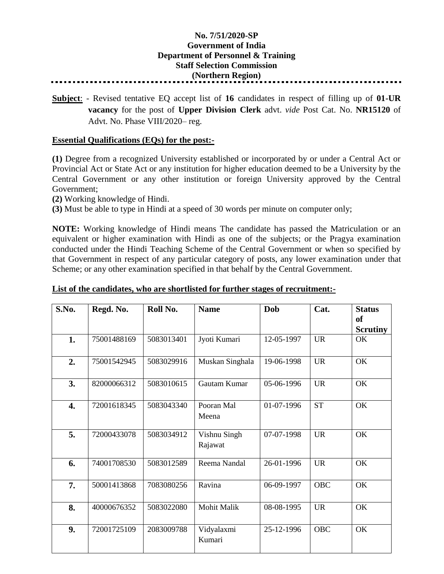## **No. 7/51/2020-SP Government of India Department of Personnel & Training Staff Selection Commission (Northern Region)**

**Subject**: - Revised tentative EQ accept list of **16** candidates in respect of filling up of **01-UR vacancy** for the post of **Upper Division Clerk** advt. *vide* Post Cat. No. **NR15120** of Advt. No. Phase VIII/2020– reg.

## **Essential Qualifications (EQs) for the post:-**

**(1)** Degree from a recognized University established or incorporated by or under a Central Act or Provincial Act or State Act or any institution for higher education deemed to be a University by the Central Government or any other institution or foreign University approved by the Central Government;

**(2)** Working knowledge of Hindi.

**(3)** Must be able to type in Hindi at a speed of 30 words per minute on computer only;

**NOTE:** Working knowledge of Hindi means The candidate has passed the Matriculation or an equivalent or higher examination with Hindi as one of the subjects; or the Pragya examination conducted under the Hindi Teaching Scheme of the Central Government or when so specified by that Government in respect of any particular category of posts, any lower examination under that Scheme; or any other examination specified in that behalf by the Central Government.

| S.No. | Regd. No.   | Roll No.   | <b>Name</b>             | Dob        | Cat.       | <b>Status</b><br><b>of</b><br><b>Scrutiny</b> |
|-------|-------------|------------|-------------------------|------------|------------|-----------------------------------------------|
| 1.    | 75001488169 | 5083013401 | Jyoti Kumari            | 12-05-1997 | <b>UR</b>  | OK                                            |
| 2.    | 75001542945 | 5083029916 | Muskan Singhala         | 19-06-1998 | <b>UR</b>  | OK                                            |
| 3.    | 82000066312 | 5083010615 | Gautam Kumar            | 05-06-1996 | <b>UR</b>  | OK                                            |
| 4.    | 72001618345 | 5083043340 | Pooran Mal<br>Meena     | 01-07-1996 | <b>ST</b>  | OK                                            |
| 5.    | 72000433078 | 5083034912 | Vishnu Singh<br>Rajawat | 07-07-1998 | <b>UR</b>  | OK                                            |
| 6.    | 74001708530 | 5083012589 | Reema Nandal            | 26-01-1996 | <b>UR</b>  | OK                                            |
| 7.    | 50001413868 | 7083080256 | Ravina                  | 06-09-1997 | <b>OBC</b> | OK                                            |
| 8.    | 40000676352 | 5083022080 | Mohit Malik             | 08-08-1995 | <b>UR</b>  | OK                                            |
| 9.    | 72001725109 | 2083009788 | Vidyalaxmi<br>Kumari    | 25-12-1996 | <b>OBC</b> | OK                                            |

## **List of the candidates, who are shortlisted for further stages of recruitment:-**